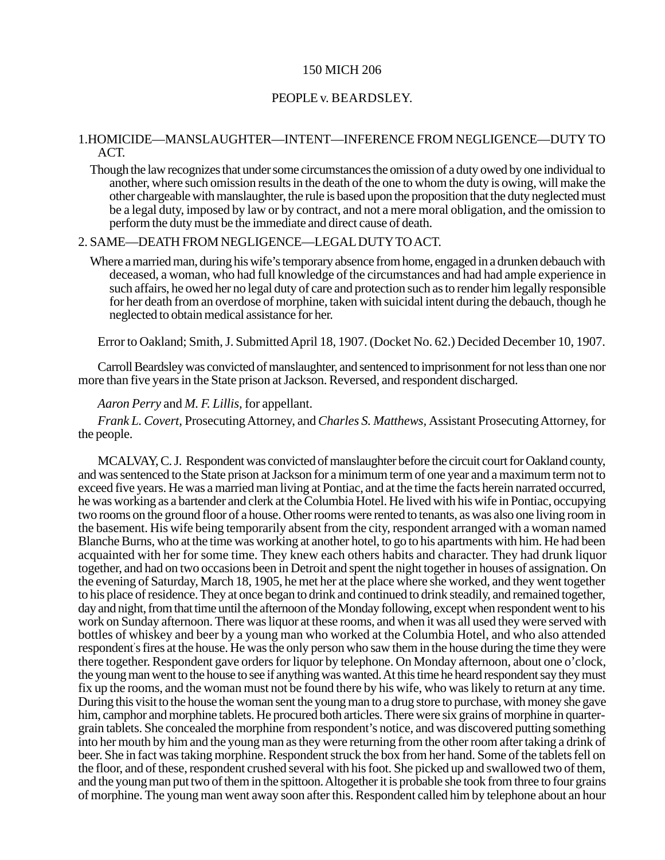### 150 MICH 206

# PEOPLE v. BEARDSLEY.

# 1.HOMICIDE—MANSLAUGHTER—INTENT—INFERENCE FROM NEGLIGENCE—DUTY TO ACT.

Though the law recognizes that under some circumstances the omission of a duty owed by one individual to another, where such omission results in the death of the one to whom the duty is owing, will make the other chargeable with manslaughter, the rule is based upon the proposition that the duty neglected must be a legal duty, imposed by law or by contract, and not a mere moral obligation, and the omission to perform the duty must be the immediate and direct cause of death.

# 2. SAME—DEATH FROM NEGLIGENCE—LEGAL DUTY TO ACT.

Where a married man, during his wife's temporary absence from home, engaged in a drunken debauch with deceased, a woman, who had full knowledge of the circumstances and had had ample experience in such affairs, he owed her no legal duty of care and protection such as to render him legally responsible for her death from an overdose of morphine, taken with suicidal intent during the debauch, though he neglected to obtain medical assistance for her.

Error to Oakland; Smith, J. Submitted April 18, 1907. (Docket No. 62.) Decided December 10, 1907.

Carroll Beardsley was convicted of manslaughter, and sentenced to imprisonment for not less than one nor more than five years in the State prison at Jackson. Reversed, and respondent discharged.

#### *Aaron Perry* and *M. F. Lillis,* for appellant.

*Frank L. Covert,* Prosecuting Attorney, and *Charles S. Matthews,* Assistant Prosecuting Attorney, for the people.

MCALVAY, C. J. Respondent was convicted of manslaughter before the circuit court for Oakland county, and was sentenced to the State prison at Jackson for a minimum term of one year and a maximum term not to exceed five years. He was a married man living at Pontiac, and at the time the facts herein narrated occurred, he was working as a bartender and clerk at the Columbia Hotel. He lived with his wife in Pontiac, occupying two rooms on the ground floor of a house. Other rooms were rented to tenants, as was also one living room in the basement. His wife being temporarily absent from the city, respondent arranged with a woman named Blanche Burns, who at the time was working at another hotel, to go to his apartments with him. He had been acquainted with her for some time. They knew each others habits and character. They had drunk liquor together, and had on two occasions been in Detroit and spent the night together in houses of assignation. On the evening of Saturday, March 18, 1905, he met her at the place where she worked, and they went together to his place of residence. They at once began to drink and continued to drink steadily, and remained together, day and night, from that time until the afternoon of the Monday following, except when respondent went to his work on Sunday afternoon. There was liquor at these rooms, and when it was all used they were served with bottles of whiskey and beer by a young man who worked at the Columbia Hotel, and who also attended respondent' s fires at the house. He was the only person who saw them in the house during the time they were there together. Respondent gave orders for liquor by telephone. On Monday afternoon, about one o'clock, the young man went to the house to see if anything was wanted. At this time he heard respondent say they must fix up the rooms, and the woman must not be found there by his wife, who was likely to return at any time. During this visit to the house the woman sent the young man to a drug store to purchase, with money she gave him, camphor and morphine tablets. He procured both articles. There were six grains of morphine in quartergrain tablets. She concealed the morphine from respondent's notice, and was discovered putting something into her mouth by him and the young man as they were returning from the other room after taking a drink of beer. She in fact was taking morphine. Respondent struck the box from her hand. Some of the tablets fell on the floor, and of these, respondent crushed several with his foot. She picked up and swallowed two of them, and the young man put two of them in the spittoon. Altogether it is probable she took from three to four grains of morphine. The young man went away soon after this. Respondent called him by telephone about an hour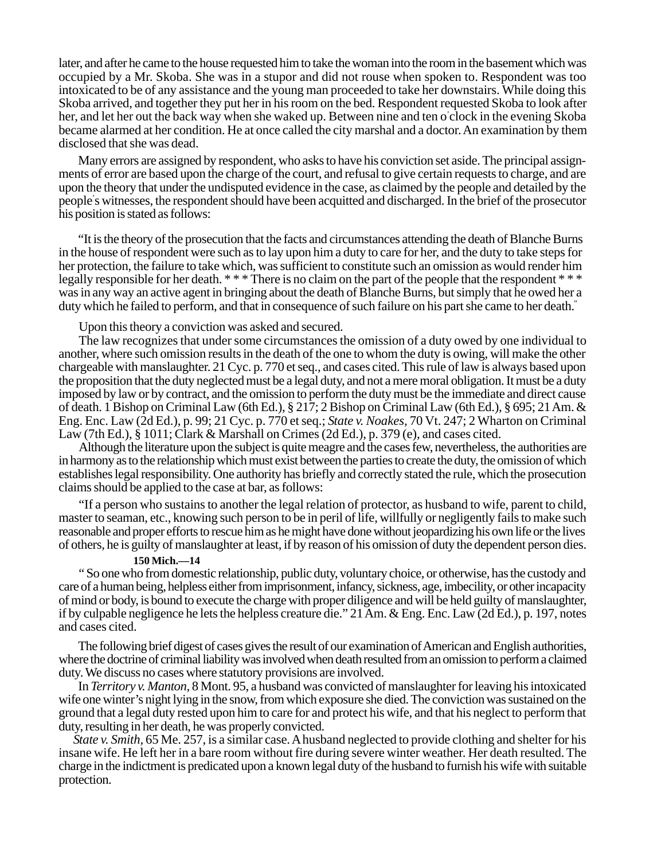later, and after he came to the house requested him to take the woman into the room in the basement which was occupied by a Mr. Skoba. She was in a stupor and did not rouse when spoken to. Respondent was too intoxicated to be of any assistance and the young man proceeded to take her downstairs. While doing this Skoba arrived, and together they put her in his room on the bed. Respondent requested Skoba to look after her, and let her out the back way when she waked up. Between nine and ten o' clock in the evening Skoba became alarmed at her condition. He at once called the city marshal and a doctor. An examination by them disclosed that she was dead.

Many errors are assigned by respondent, who asks to have his conviction set aside. The principal assignments of error are based upon the charge of the court, and refusal to give certain requests to charge, and are upon the theory that under the undisputed evidence in the case, as claimed by the people and detailed by the people' s witnesses, the respondent should have been acquitted and discharged. In the brief of the prosecutor his position is stated as follows:

"It is the theory of the prosecution that the facts and circumstances attending the death of Blanche Burns in the house of respondent were such as to lay upon him a duty to care for her, and the duty to take steps for her protection, the failure to take which, was sufficient to constitute such an omission as would render him legally responsible for her death. \* \* \* There is no claim on the part of the people that the respondent \* \* \* was in any way an active agent in bringing about the death of Blanche Burns, but simply that he owed her a duty which he failed to perform, and that in consequence of such failure on his part she came to her death."

Upon this theory a conviction was asked and secured.

The law recognizes that under some circumstances the omission of a duty owed by one individual to another, where such omission results in the death of the one to whom the duty is owing, will make the other chargeable with manslaughter. 21 Cyc. p. 770 et seq., and cases cited. This rule of law is always based upon the proposition that the duty neglected must be a legal duty, and not a mere moral obligation. It must be a duty imposed by law or by contract, and the omission to perform the duty must be the immediate and direct cause of death. 1 Bishop on Criminal Law (6th Ed.), § 217; 2 Bishop on Criminal Law (6th Ed.), § 695; 21 Am. & Eng. Enc. Law (2d Ed.), p. 99; 21 Cyc. p. 770 et seq.; *State v. Noakes,* 70 Vt. 247; 2 Wharton on Criminal Law (7th Ed.), § 1011; Clark & Marshall on Crimes (2d Ed.), p. 379 (e), and cases cited.

Although the literature upon the subject is quite meagre and the cases few, nevertheless, the authorities are in harmony as to the relationship which must exist between the parties to create the duty, the omission of which establishes legal responsibility. One authority has briefly and correctly stated the rule, which the prosecution claims should be applied to the case at bar, as follows:

"If a person who sustains to another the legal relation of protector, as husband to wife, parent to child, master to seaman, etc., knowing such person to be in peril of life, willfully or negligently fails to make such reasonable and proper efforts to rescue him as he might have done without jeopardizing his own life or the lives of others, he is guilty of manslaughter at least, if by reason of his omission of duty the dependent person dies.

### **150 Mich.—14**

" So one who from domestic relationship, public duty, voluntary choice, or otherwise, has the custody and care of a human being, helpless either from imprisonment, infancy, sickness, age, imbecility, or other incapacity of mind or body, is bound to execute the charge with proper diligence and will be held guilty of manslaughter, if by culpable negligence he lets the helpless creature die." 21 Am. & Eng. Enc. Law (2d Ed.), p. 197, notes and cases cited.

The following brief digest of cases gives the result of our examination of American and English authorities, where the doctrine of criminal liability was involved when death resulted from an omission to perform a claimed duty. We discuss no cases where statutory provisions are involved.

In *Territory v. Manton,* 8 Mont. 95, a husband was convicted of manslaughter for leaving his intoxicated wife one winter's night lying in the snow, from which exposure she died. The conviction was sustained on the ground that a legal duty rested upon him to care for and protect his wife, and that his neglect to perform that duty, resulting in her death, he was properly convicted.

*State v. Smith,* 65 Me. 257, is a similar case. A husband neglected to provide clothing and shelter for his insane wife. He left her in a bare room without fire during severe winter weather. Her death resulted. The charge in the indictment is predicated upon a known legal duty of the husband to furnish his wife with suitable protection.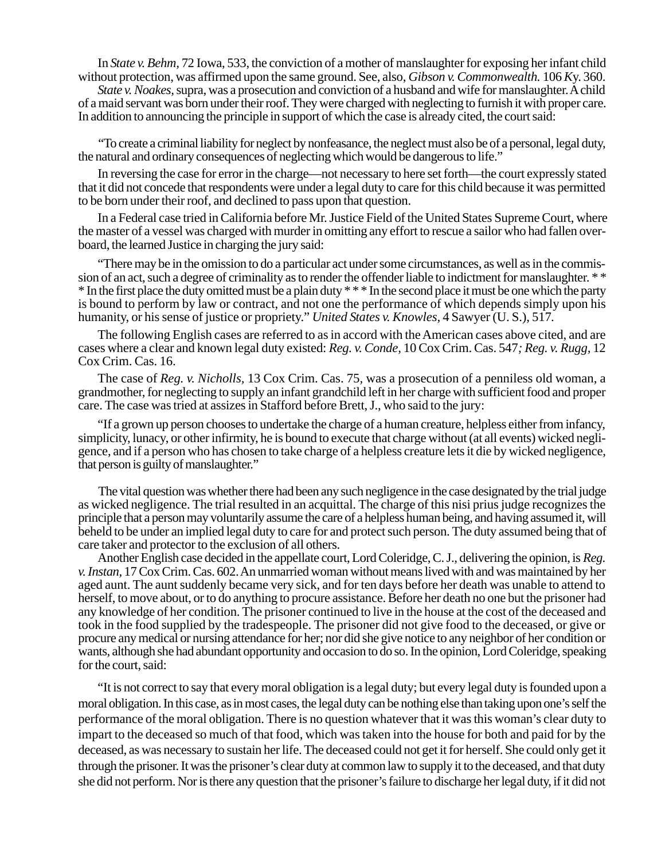In *State v. Behm,* 72 Iowa, 533, the conviction of a mother of manslaughter for exposing her infant child without protection, was affirmed upon the same ground. See, also, *Gibson v. Commonwealth.* 106 *K*y. 360.

*State v. Noakes,* supra, was a prosecution and conviction of a husband and wife for manslaughter. A child of a maid servant was born under their roof. They were charged with neglecting to furnish it with proper care. In addition to announcing the principle in support of which the case is already cited, the court said:

"To create a criminal liability for neglect by nonfeasance, the neglect must also be of a personal, legal duty, the natural and ordinary consequences of neglecting which would be dangerous to life."

In reversing the case for error in the charge—not necessary to here set forth—the court expressly stated that it did not concede that respondents were under a legal duty to care for this child because it was permitted to be born under their roof, and declined to pass upon that question.

In a Federal case tried in California before Mr. Justice Field of the United States Supreme Court, where the master of a vessel was charged with murder in omitting any effort to rescue a sailor who had fallen overboard, the learned Justice in charging the jury said:

"There may be in the omission to do a particular act under some circumstances, as well as in the commission of an act, such a degree of criminality as to render the offender liable to indictment for manslaughter. \* \* \* In the first place the duty omitted must be a plain duty \* \* \* In the second place it must be one which the party is bound to perform by law or contract, and not one the performance of which depends simply upon his humanity, or his sense of justice or propriety." *United States v. Knowles*, 4 Sawyer (U.S.), 517.

The following English cases are referred to as in accord with the American cases above cited, and are cases where a clear and known legal duty existed: *Reg. v. Conde,* 10 Cox Crim. Cas. 547*; Reg. v. Rugg,* 12 Cox Crim. Cas. 16.

The case of *Reg. v. Nicholls,* 13 Cox Crim. Cas. 75*,* was a prosecution of a penniless old woman, a grandmother, for neglecting to supply an infant grandchild left in her charge with sufficient food and proper care. The case was tried at assizes in Stafford before Brett, J., who said to the jury:

"If a grown up person chooses to undertake the charge of a human creature, helpless either from infancy, simplicity, lunacy, or other infirmity, he is bound to execute that charge without (at all events) wicked negligence, and if a person who has chosen to take charge of a helpless creature lets it die by wicked negligence, that person is guilty of manslaughter."

The vital question was whether there had been any such negligence in the case designated by the trial judge as wicked negligence. The trial resulted in an acquittal. The charge of this nisi prius judge recognizes the principle that a person may voluntarily assume the care of a helpless human being, and having assumed it, will beheld to be under an implied legal duty to care for and protect such person. The duty assumed being that of care taker and protector to the exclusion of all others.

Another English case decided in the appellate court, Lord Coleridge, C. J., delivering the opinion, is *Reg. v. Instan,* 17Cox Crim. Cas. 602. An unmarried woman without means lived with and was maintained by her aged aunt. The aunt suddenly became very sick, and for ten days before her death was unable to attend to herself, to move about, or to do anything to procure assistance. Before her death no one but the prisoner had any knowledge of her condition. The prisoner continued to live in the house at the cost of the deceased and took in the food supplied by the tradespeople. The prisoner did not give food to the deceased, or give or procure any medical or nursing attendance for her; nor did she give notice to any neighbor of her condition or wants, although she had abundant opportunity and occasion to do so. In the opinion, Lord Coleridge, speaking for the court, said:

"It is not correct to say that every moral obligation is a legal duty; but every legal duty is founded upon a moral obligation. In this case, as in most cases, the legal duty can be nothing else than taking upon one's self the performance of the moral obligation. There is no question whatever that it was this woman's clear duty to impart to the deceased so much of that food, which was taken into the house for both and paid for by the deceased, as was necessary to sustain her life. The deceased could not get it for herself. She could only get it through the prisoner. It was the prisoner's clear duty at common law to supply it to the deceased, and that duty she did not perform. Nor is there any question that the prisoner's failure to discharge her legal duty, if it did not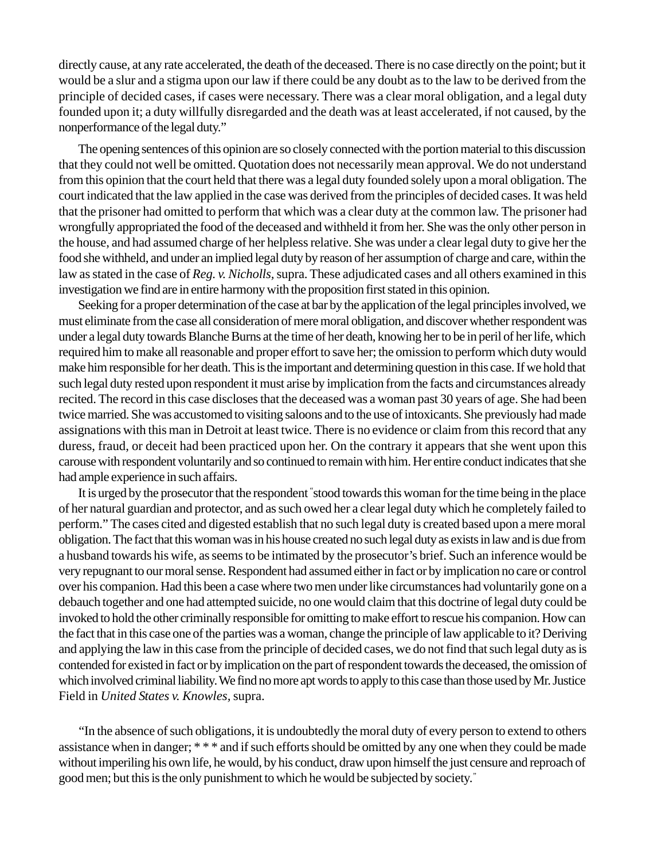directly cause, at any rate accelerated, the death of the deceased. There is no case directly on the point; but it would be a slur and a stigma upon our law if there could be any doubt as to the law to be derived from the principle of decided cases, if cases were necessary. There was a clear moral obligation, and a legal duty founded upon it; a duty willfully disregarded and the death was at least accelerated, if not caused, by the nonperformance of the legal duty."

The opening sentences of this opinion are so closely connected with the portion material to this discussion that they could not well be omitted. Quotation does not necessarily mean approval. We do not understand from this opinion that the court held that there was a legal duty founded solely upon a moral obligation. The court indicated that the law applied in the case was derived from the principles of decided cases. It was held that the prisoner had omitted to perform that which was a clear duty at the common law. The prisoner had wrongfully appropriated the food of the deceased and withheld it from her. She was the only other person in the house, and had assumed charge of her helpless relative. She was under a clear legal duty to give her the food she withheld, and under an implied legal duty by reason of her assumption of charge and care, within the law as stated in the case of *Reg. v. Nicholls,* supra. These adjudicated cases and all others examined in this investigation we find are in entire harmony with the proposition first stated in this opinion.

Seeking for a proper determination of the case at bar by the application of the legal principles involved, we must eliminate from the case all consideration of mere moral obligation, and discover whether respondent was under a legal duty towards Blanche Burns at the time of her death, knowing her to be in peril of her life, which required him to make all reasonable and proper effort to save her; the omission to perform which duty would make him responsible for her death. This is the important and determining question in this case. If we hold that such legal duty rested upon respondent it must arise by implication from the facts and circumstances already recited. The record in this case discloses that the deceased was a woman past 30 years of age. She had been twice married. She was accustomed to visiting saloons and to the use of intoxicants. She previously had made assignations with this man in Detroit at least twice. There is no evidence or claim from this record that any duress, fraud, or deceit had been practiced upon her. On the contrary it appears that she went upon this carouse with respondent voluntarily and so continued to remain with him. Her entire conduct indicates that she had ample experience in such affairs.

It is urged by the prosecutor that the respondent " stood towards this woman for the time being in the place of her natural guardian and protector, and as such owed her a clear legal duty which he completely failed to perform." The cases cited and digested establish that no such legal duty is created based upon a mere moral obligation. The fact that this woman was in his house created no such legal duty as exists in law and is due from a husband towards his wife, as seems to be intimated by the prosecutor's brief. Such an inference would be very repugnant to our moral sense. Respondent had assumed either in fact or by implication no care or control over his companion. Had this been a case where two men under like circumstances had voluntarily gone on a debauch together and one had attempted suicide, no one would claim that this doctrine of legal duty could be invoked to hold the other criminally responsible for omitting to make effort to rescue his companion. How can the fact that in this case one of the parties was a woman, change the principle of law applicable to it? Deriving and applying the law in this case from the principle of decided cases, we do not find that such legal duty as is contended for existed in fact or by implication on the part of respondent towards the deceased, the omission of which involved criminal liability. We find no more apt words to apply to this case than those used by Mr. Justice Field in *United States v. Knowles,* supra.

"In the absence of such obligations, it is undoubtedly the moral duty of every person to extend to others assistance when in danger; \* \* \* and if such efforts should be omitted by any one when they could be made without imperiling his own life, he would, by his conduct, draw upon himself the just censure and reproach of good men; but this is the only punishment to which he would be subjected by society."